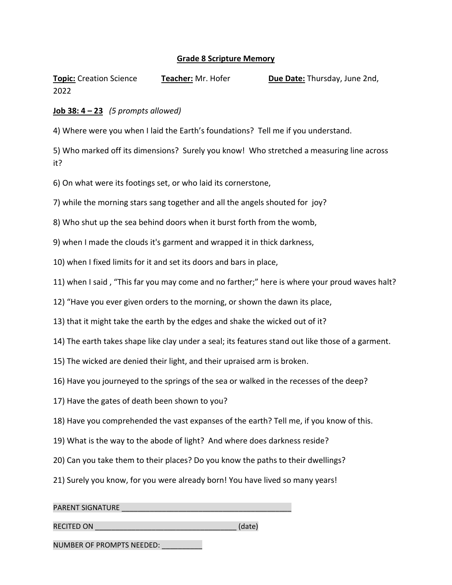## **Grade 8 Scripture Memory**

**Topic:** Creation Science **Teacher:** Mr. Hofer **Due Date:** Thursday, June 2nd, 2022

## **Job 38: 4 – 23** *(5 prompts allowed)*

4) Where were you when I laid the Earth's foundations? Tell me if you understand.

5) Who marked off its dimensions? Surely you know! Who stretched a measuring line across it?

6) On what were its footings set, or who laid its cornerstone,

7) while the morning stars sang together and all the angels shouted for joy?

8) Who shut up the sea behind doors when it burst forth from the womb,

9) when I made the clouds it's garment and wrapped it in thick darkness,

10) when I fixed limits for it and set its doors and bars in place,

11) when I said , "This far you may come and no farther;" here is where your proud waves halt?

12) "Have you ever given orders to the morning, or shown the dawn its place,

13) that it might take the earth by the edges and shake the wicked out of it?

14) The earth takes shape like clay under a seal; its features stand out like those of a garment.

15) The wicked are denied their light, and their upraised arm is broken.

16) Have you journeyed to the springs of the sea or walked in the recesses of the deep?

- 17) Have the gates of death been shown to you?
- 18) Have you comprehended the vast expanses of the earth? Tell me, if you know of this.
- 19) What is the way to the abode of light? And where does darkness reside?
- 20) Can you take them to their places? Do you know the paths to their dwellings?
- 21) Surely you know, for you were already born! You have lived so many years!

PARENT SIGNATURE \_\_\_\_\_\_\_\_\_\_\_\_\_\_\_\_\_\_\_\_\_\_\_\_\_\_\_\_\_\_\_\_\_\_\_\_\_\_\_\_\_\_

RECITED ON  $(date)$ 

NUMBER OF PROMPTS NEEDED: \_\_\_\_\_\_\_\_\_\_